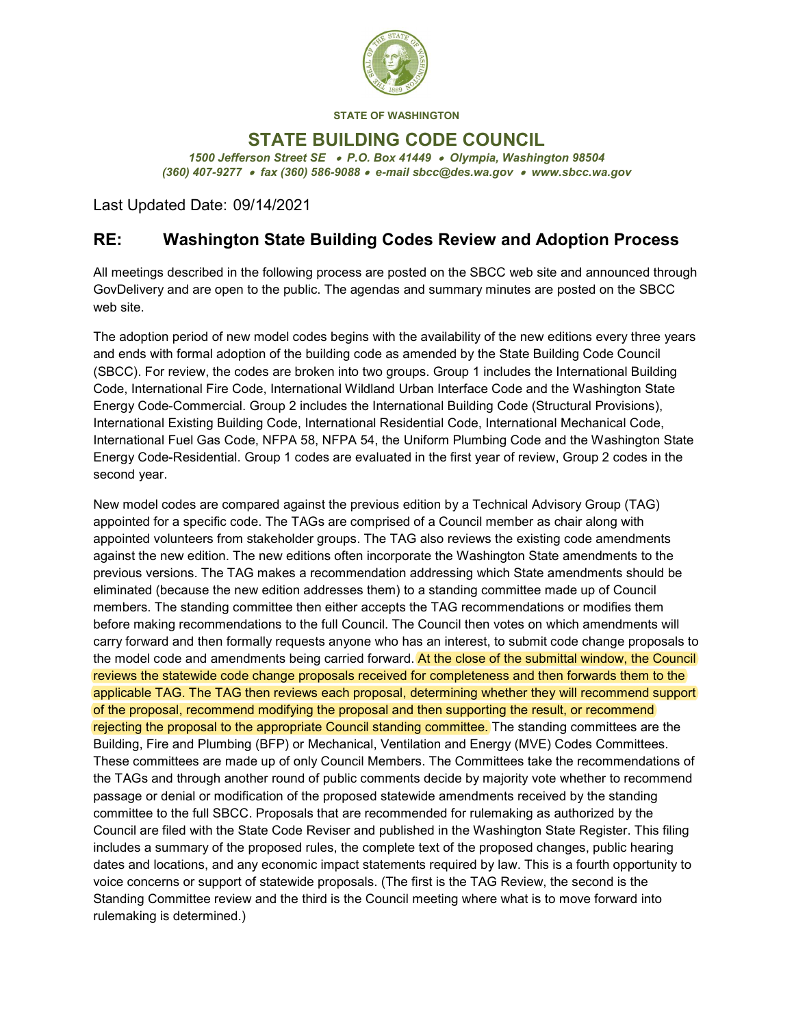

STATE OF WASHINGTON

## STATE BUILDING CODE COUNCIL

1500 Jefferson Street SE . P.O. Box 41449 . Olympia, Washington 98504 (360) 407-9277 fax (360) 586-9088 e-mail sbcc@des.wa.gov www.sbcc.wa.gov

Last Updated Date: 09/14/2021

## RE: Washington State Building Codes Review and Adoption Process

All meetings described in the following process are posted on the SBCC web site and announced through GovDelivery and are open to the public. The agendas and summary minutes are posted on the SBCC web site.

The adoption period of new model codes begins with the availability of the new editions every three years and ends with formal adoption of the building code as amended by the State Building Code Council (SBCC). For review, the codes are broken into two groups. Group 1 includes the International Building Code, International Fire Code, International Wildland Urban Interface Code and the Washington State Energy CodeCommercial. Group 2 includes the International Building Code (Structural Provisions), International Existing Building Code, International Residential Code, International Mechanical Code, International Fuel Gas Code, NFPA 58, NFPA 54, the Uniform Plumbing Code and the Washington State Energy Code-Residential. Group 1 codes are evaluated in the first year of review, Group 2 codes in the second year.

New model codes are compared against the previous edition by a Technical Advisory Group (TAG) appointed for a specific code. The TAGs are comprised of a Council member as chair along with appointed volunteers from stakeholder groups. The TAG also reviews the existing code amendments against the new edition. The new editions often incorporate the Washington State amendments to the previous versions. The TAG makes a recommendation addressing which State amendments should be eliminated (because the new edition addresses them) to a standing committee made up of Council members. The standing committee then either accepts the TAG recommendations or modifies them before making recommendations to the full Council. The Council then votes on which amendments will carry forward and then formally requests anyone who has an interest, to submit code change proposals to the model code and amendments being carried forward. At the close of the submittal window, the Council reviews the statewide code change proposals received for completeness and then forwards them to the applicable TAG. The TAG then reviews each proposal, determining whether they will recommend support of the proposal, recommend modifying the proposal and then supporting the result, or recommend rejecting the proposal to the appropriate Council standing committee. The standing committees are the Building, Fire and Plumbing (BFP) or Mechanical, Ventilation and Energy (MVE) Codes Committees. These committees are made up of only Council Members. The Committees take the recommendations of the TAGs and through another round of public comments decide by majority vote whether to recommend passage or denial or modification of the proposed statewide amendments received by the standing committee to the full SBCC. Proposals that are recommended for rulemaking as authorized by the Council are filed with the State Code Reviser and published in the Washington State Register. This filing includes a summary of the proposed rules, the complete text of the proposed changes, public hearing dates and locations, and any economic impact statements required by law. This is a fourth opportunity to voice concerns or support of statewide proposals. (The first is the TAG Review, the second is the Standing Committee review and the third is the Council meeting where what is to move forward into rulemaking is determined.)